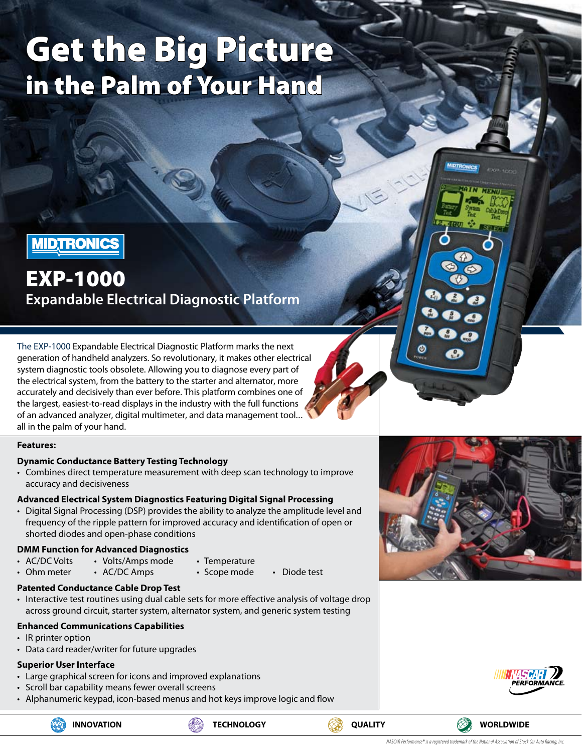# Get the Big Picture in the Palm of Your Hand



## EXP-1000

**Expandable Electrical Diagnostic Platform**

The EXP-1000 Expandable Electrical Diagnostic Platform marks the next generation of handheld analyzers. So revolutionary, it makes other electrical system diagnostic tools obsolete. Allowing you to diagnose every part of the electrical system, from the battery to the starter and alternator, more accurately and decisively than ever before. This platform combines one of the largest, easiest-to-read displays in the industry with the full functions of an advanced analyzer, digital multimeter, and data management tool... all in the palm of your hand.

#### **Features:**

#### **Dynamic Conductance Battery Testing Technology**

• Combines direct temperature measurement with deep scan technology to improve accuracy and decisiveness

#### **Advanced Electrical System Diagnostics Featuring Digital Signal Processing**

• Digital Signal Processing (DSP) provides the ability to analyze the amplitude level and frequency of the ripple pattern for improved accuracy and identification of open or shorted diodes and open-phase conditions

#### **DMM Function for Advanced Diagnostics**

- AC/DC Volts Volts/Amps mode Temperature
- Ohm meter AC/DC Amps Scope mode Diode test
- - -

#### **Patented Conductance Cable Drop Test**

• Interactive test routines using dual cable sets for more effective analysis of voltage drop across ground circuit, starter system, alternator system, and generic system testing

#### **Enhanced Communications Capabilities**

- IR printer option
- Data card reader/writer for future upgrades

#### **Superior User Interface**

- Large graphical screen for icons and improved explanations
- • Scroll bar capability means fewer overall screens
- Alphanumeric keypad, icon-based menus and hot keys improve logic and flow





 $\bullet$ 



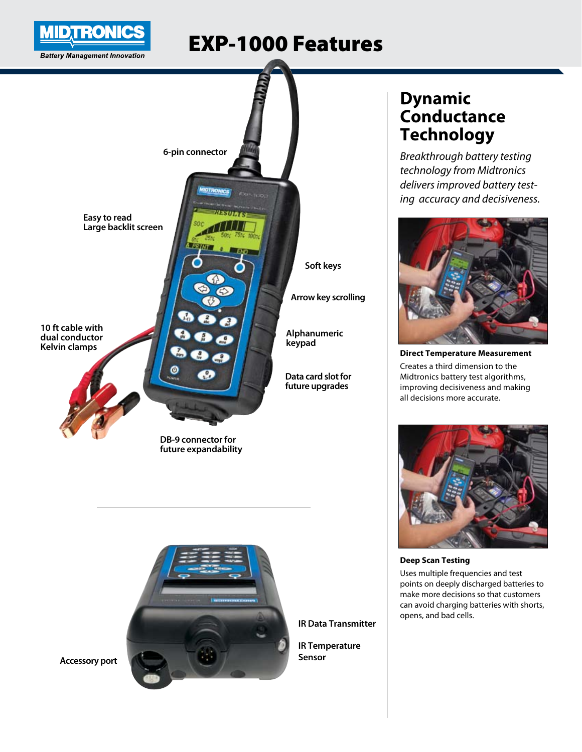

## EXP-1000 Features





**IR Data Transmitter**

**IR Temperature Sensor**

**Accessory port**

## **Dynamic Conductance Technology**

*Breakthrough battery testing technology from Midtronics delivers improved battery testing accuracy and decisiveness.* 



**Direct Temperature Measurement**

Creates a third dimension to the Midtronics battery test algorithms, improving decisiveness and making all decisions more accurate.



**Deep Scan Testing** Uses multiple frequencies and test points on deeply discharged batteries to make more decisions so that customers can avoid charging batteries with shorts,

opens, and bad cells.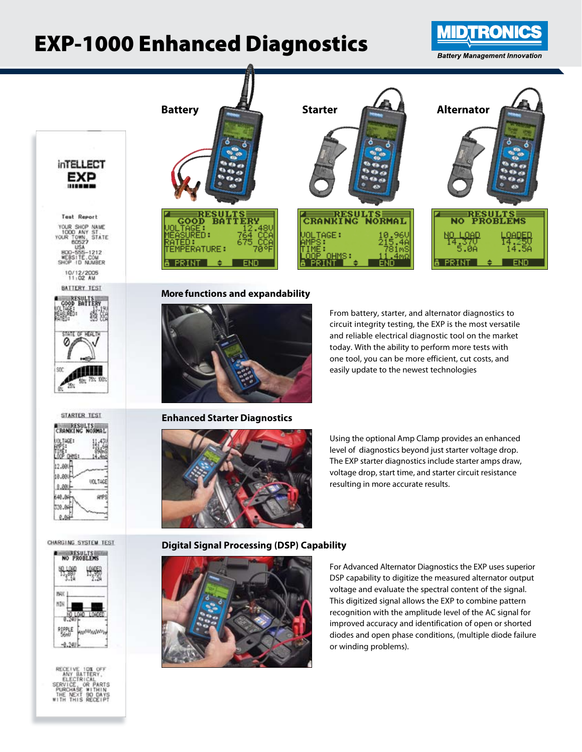## EXP-1000 Enhanced Diagnostics



**inTELLECT** EXP

**Test Report** YOUR SHOP NAME<br>1000 ANY ST.<br>OUR TOWN, STATE<br>60527<br>USA YOUR 2-1212<br>COM<br>NUMBER

10/12/2005<br>11:02 AM













**More functions and expandability**



**Enhanced Starter Diagnostics**



From battery, starter, and alternator diagnostics to circuit integrity testing, the EXP is the most versatile and reliable electrical diagnostic tool on the market today. With the ability to perform more tests with one tool, you can be more efficient, cut costs, and easily update to the newest technologies

Using the optional Amp Clamp provides an enhanced level of diagnostics beyond just starter voltage drop. The EXP starter diagnostics include starter amps draw, voltage drop, start time, and starter circuit resistance resulting in more accurate results.

#### **Digital Signal Processing (DSP) Capability**



For Advanced Alternator Diagnostics the EXP uses superior DSP capability to digitize the measured alternator output voltage and evaluate the spectral content of the signal. This digitized signal allows the EXP to combine pattern recognition with the amplitude level of the AC signal for improved accuracy and identification of open or shorted diodes and open phase conditions, (multiple diode failure or winding problems).